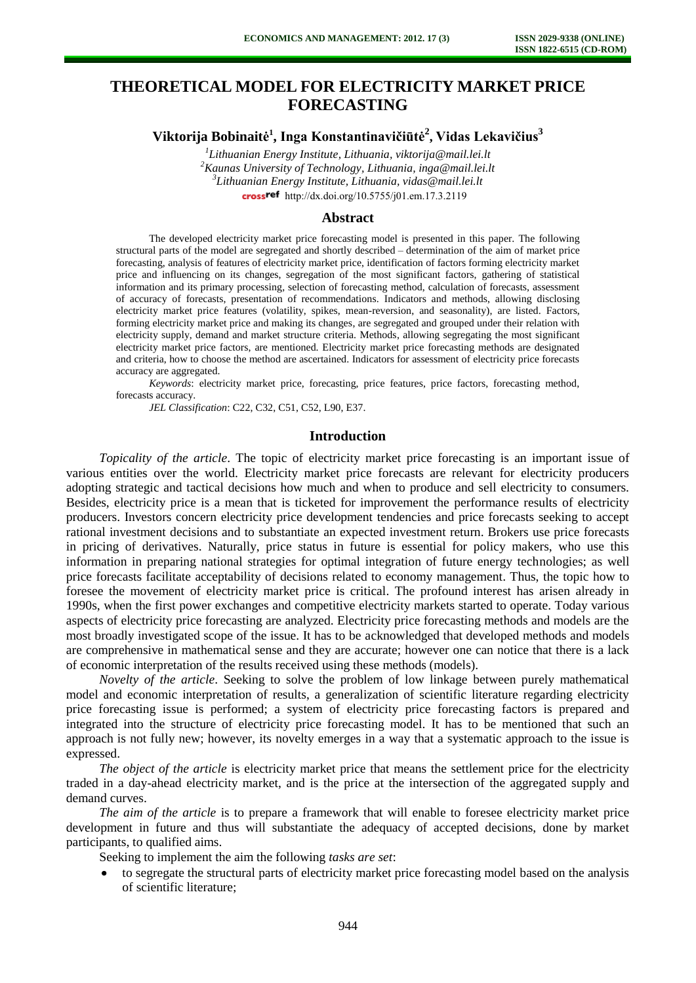# **THEORETICAL MODEL FOR ELECTRICITY MARKET PRICE FORECASTING**

**Viktorija Bobinaitė 1 , Inga Konstantinavičiūtė<sup>2</sup> , Vidas Lekavičius<sup>3</sup>**

 *Lithuanian Energy Institute, Lithuania, viktorija@mail.lei.lt Kaunas University of Technology, Lithuania, inga@mail.lei.lt Lithuanian Energy Institute, Lithuania, vidas@mail.lei.lt* crossref [http://dx.doi.org/10.5755/j01.e](http://dx.doi.org/10.5755/j01.em.17.3.2119)m.17.3.2119

# **Abstract**

The developed electricity market price forecasting model is presented in this paper. The following structural parts of the model are segregated and shortly described – determination of the aim of market price forecasting, analysis of features of electricity market price, identification of factors forming electricity market price and influencing on its changes, segregation of the most significant factors, gathering of statistical information and its primary processing, selection of forecasting method, calculation of forecasts, assessment of accuracy of forecasts, presentation of recommendations. Indicators and methods, allowing disclosing electricity market price features (volatility, spikes, mean-reversion, and seasonality), are listed. Factors, forming electricity market price and making its changes, are segregated and grouped under their relation with electricity supply, demand and market structure criteria. Methods, allowing segregating the most significant electricity market price factors, are mentioned. Electricity market price forecasting methods are designated and criteria, how to choose the method are ascertained. Indicators for assessment of electricity price forecasts accuracy are aggregated.

*Keywords*: electricity market price, forecasting, price features, price factors, forecasting method, forecasts accuracy.

*JEL Classification*: C22, C32, C51, C52, L90, E37.

#### **Introduction**

*Topicality of the article*. The topic of electricity market price forecasting is an important issue of various entities over the world. Electricity market price forecasts are relevant for electricity producers adopting strategic and tactical decisions how much and when to produce and sell electricity to consumers. Besides, electricity price is a mean that is ticketed for improvement the performance results of electricity producers. Investors concern electricity price development tendencies and price forecasts seeking to accept rational investment decisions and to substantiate an expected investment return. Brokers use price forecasts in pricing of derivatives. Naturally, price status in future is essential for policy makers, who use this information in preparing national strategies for optimal integration of future energy technologies; as well price forecasts facilitate acceptability of decisions related to economy management. Thus, the topic how to foresee the movement of electricity market price is critical. The profound interest has arisen already in 1990s, when the first power exchanges and competitive electricity markets started to operate. Today various aspects of electricity price forecasting are analyzed. Electricity price forecasting methods and models are the most broadly investigated scope of the issue. It has to be acknowledged that developed methods and models are comprehensive in mathematical sense and they are accurate; however one can notice that there is a lack of economic interpretation of the results received using these methods (models).

*Novelty of the article*. Seeking to solve the problem of low linkage between purely mathematical model and economic interpretation of results, a generalization of scientific literature regarding electricity price forecasting issue is performed; a system of electricity price forecasting factors is prepared and integrated into the structure of electricity price forecasting model. It has to be mentioned that such an approach is not fully new; however, its novelty emerges in a way that a systematic approach to the issue is expressed.

*The object of the article* is electricity market price that means the settlement price for the electricity traded in a day-ahead electricity market, and is the price at the intersection of the aggregated supply and demand curves.

*The aim of the article* is to prepare a framework that will enable to foresee electricity market price development in future and thus will substantiate the adequacy of accepted decisions, done by market participants, to qualified aims.

Seeking to implement the aim the following *tasks are set*:

to segregate the structural parts of electricity market price forecasting model based on the analysis of scientific literature;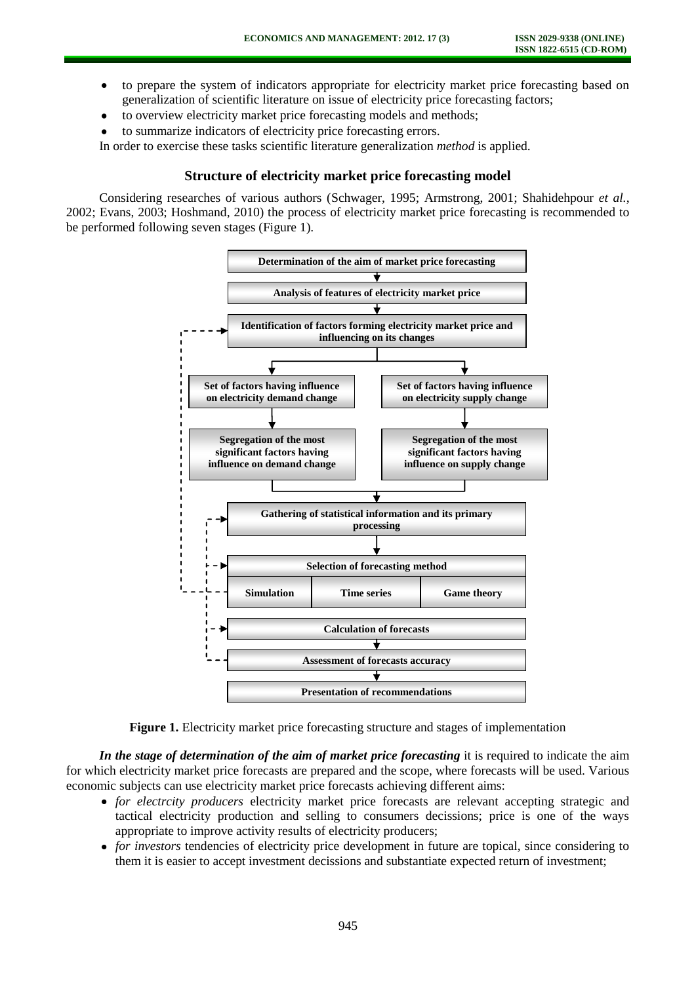- to prepare the system of indicators appropriate for electricity market price forecasting based on  $\bullet$ generalization of scientific literature on issue of electricity price forecasting factors;
- to overview electricity market price forecasting models and methods;  $\bullet$
- to summarize indicators of electricity price forecasting errors.

In order to exercise these tasks scientific literature generalization *method* is applied.

# **Structure of electricity market price forecasting model**

Considering researches of various authors (Schwager, 1995; Armstrong, 2001; Shahidehpour *et al.*, 2002; Evans, 2003; Hoshmand, 2010) the process of electricity market price forecasting is recommended to be performed following seven stages (Figure 1).



**Figure 1.** Electricity market price forecasting structure and stages of implementation

*In the stage of determination of the aim of market price forecasting* it is required to indicate the aim for which electricity market price forecasts are prepared and the scope, where forecasts will be used. Various economic subjects can use electricity market price forecasts achieving different aims:

- *for electrcity producers* electricity market price forecasts are relevant accepting strategic and tactical electricity production and selling to consumers decissions; price is one of the ways appropriate to improve activity results of electricity producers;
- *for investors* tendencies of electricity price development in future are topical, since considering to them it is easier to accept investment decissions and substantiate expected return of investment;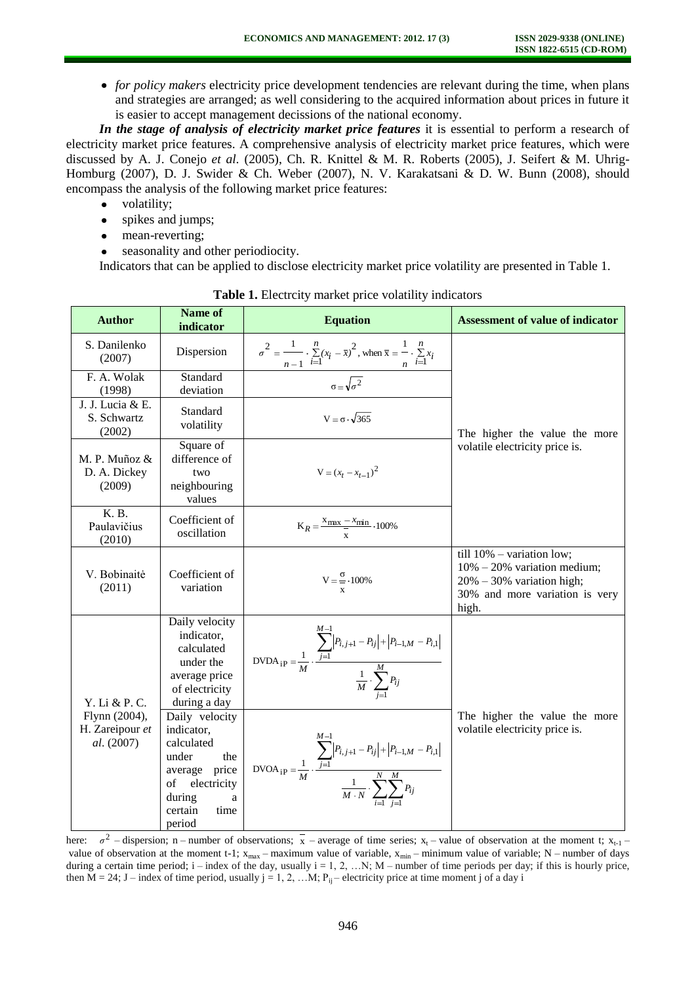*for policy makers* electricity price development tendencies are relevant during the time, when plans and strategies are arranged; as well considering to the acquired information about prices in future it is easier to accept management decissions of the national economy.

*In the stage of analysis of electricity market price features* it is essential to perform a research of electricity market price features. A comprehensive analysis of electricity market price features, which were discussed by A. J. Conejo *et al.* (2005), Ch. R. Knittel & M. R. Roberts (2005), J. Seifert & M. Uhrig-Homburg (2007), D. J. Swider & Ch. Weber (2007), N. V. Karakatsani & D. W. Bunn (2008), should encompass the analysis of the following market price features:

- volatility;
- spikes and jumps;  $\bullet$
- $\bullet$ mean-reverting;
- seasonality and other periodiocity.

Indicators that can be applied to disclose electricity market price volatility are presented in Table 1.

| <b>Author</b>                                                   | <b>Name of</b><br>indicator                                                                                                                                                                                                                                | <b>Equation</b>                                                                                                                                                                                                                                                                                                                                                                                                                  | <b>Assessment of value of indicator</b>                                                                                                     |  |  |
|-----------------------------------------------------------------|------------------------------------------------------------------------------------------------------------------------------------------------------------------------------------------------------------------------------------------------------------|----------------------------------------------------------------------------------------------------------------------------------------------------------------------------------------------------------------------------------------------------------------------------------------------------------------------------------------------------------------------------------------------------------------------------------|---------------------------------------------------------------------------------------------------------------------------------------------|--|--|
| S. Danilenko<br>(2007)                                          | Dispersion                                                                                                                                                                                                                                                 | $\sigma^2 = \frac{1}{n-1} \cdot \sum_{i=1}^{n} (x_i - \bar{x})^2$ , when $\bar{x} = \frac{1}{n} \cdot \sum_{i=1}^{n} x_i$<br>$\sigma = \sqrt{\sigma^2}$                                                                                                                                                                                                                                                                          |                                                                                                                                             |  |  |
| F. A. Wolak<br>(1998)                                           | Standard<br>deviation                                                                                                                                                                                                                                      |                                                                                                                                                                                                                                                                                                                                                                                                                                  |                                                                                                                                             |  |  |
| J. J. Lucia & E.<br>S. Schwartz<br>(2002)                       | Standard<br>volatility                                                                                                                                                                                                                                     | $V = \sigma \cdot \sqrt{365}$                                                                                                                                                                                                                                                                                                                                                                                                    | The higher the value the more                                                                                                               |  |  |
| M. P. Muñoz &<br>D. A. Dickey<br>(2009)                         | Square of<br>difference of<br>two<br>neighbouring<br>values                                                                                                                                                                                                | $V = (x_t - x_{t-1})^2$                                                                                                                                                                                                                                                                                                                                                                                                          | volatile electricity price is.                                                                                                              |  |  |
| K. B.<br>Paulavičius<br>(2010)                                  | Coefficient of<br>oscillation                                                                                                                                                                                                                              | $K_R = \frac{X_{\text{max}} - X_{\text{min}}}{x} \cdot 100\%$                                                                                                                                                                                                                                                                                                                                                                    |                                                                                                                                             |  |  |
| V. Bobinaitė<br>(2011)                                          | Coefficient of<br>variation                                                                                                                                                                                                                                | $V = \frac{\sigma}{\sigma} \cdot 100\%$<br>X                                                                                                                                                                                                                                                                                                                                                                                     | till $10\%$ – variation low;<br>$10\% - 20\%$ variation medium;<br>$20\% - 30\%$ variation high;<br>30% and more variation is very<br>high. |  |  |
| Y. Li & P. C.<br>Flynn (2004),<br>H. Zareipour et<br>al. (2007) | Daily velocity<br>indicator,<br>calculated<br>under the<br>average price<br>of electricity<br>during a day<br>Daily velocity<br>indicator,<br>calculated<br>under<br>the<br>average price<br>electricity<br>of<br>during<br>a<br>certain<br>time<br>period | $\text{DVDA}_{\text{iP}} = \frac{1}{M} \cdot \frac{\sum_{j=1}^{M-1} \left  P_{i,j+1} - P_{ij} \right  + \left  P_{i-1,M} - P_{i,1} \right }{\frac{1}{M} \cdot \sum_{i=1}^{M} P_{ij}}$<br>$\text{DVOA}_{\text{iP}} = \frac{1}{M} \cdot \frac{\displaystyle\sum_{j=1}^{M-1} \left  P_{i,j+1} - P_{ij} \right  + \left  P_{i-1,M} - P_{i,1} \right  }{\frac{1}{M \cdot N} \cdot \displaystyle\sum_{i=1}^{N} \sum_{i=1}^{M} P_{ij}}$ | The higher the value the more<br>volatile electricity price is.                                                                             |  |  |

**Table 1.** Electrcity market price volatility indicators

here:  $\sigma^2$  – dispersion; n – number of observations;  $\bar{x}$  – average of time series; x<sub>t</sub> – value of observation at the moment t; x<sub>t-1</sub> – value of observation at the moment t-1;  $x_{max}$  – maximum value of variable,  $x_{min}$  – minimum value of variable; N – number of days during a certain time period;  $i$  – index of the day, usually  $i$  = 1, 2, ...N; M – number of time periods per day; if this is hourly price, then  $M = 24$ ; J – index of time period, usually  $j = 1, 2, ...M$ ;  $P_{ii}$  – electricity price at time moment j of a day i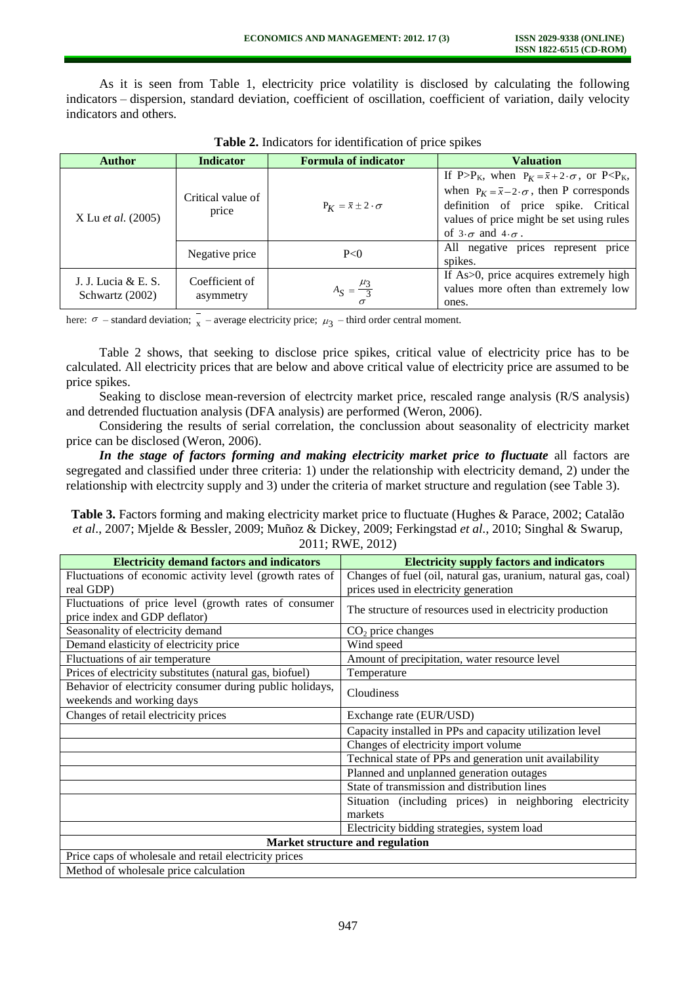As it is seen from Table 1, electricity price volatility is disclosed by calculating the following indicators – dispersion, standard deviation, coefficient of oscillation, coefficient of variation, daily velocity indicators and others.

| <b>Author</b>                          | <b>Indicator</b>            | <b>Formula of indicator</b>             | <b>Valuation</b>                                                                                                                                                                                                                                                                                                            |
|----------------------------------------|-----------------------------|-----------------------------------------|-----------------------------------------------------------------------------------------------------------------------------------------------------------------------------------------------------------------------------------------------------------------------------------------------------------------------------|
| X Lu <i>et al.</i> (2005)              | Critical value of<br>price  | $P_K = \bar{x} \pm 2 \cdot \sigma$      | If P>P <sub>K</sub> , when $P_K = \overline{x} + 2 \cdot \sigma$ , or P <p<sub>K,<br/>when <math>P_K = \bar{x} - 2 \cdot \sigma</math>, then P corresponds<br/>definition of price spike. Critical<br/>values of price might be set using rules<br/>of <math>3 \cdot \sigma</math> and <math>4 \cdot \sigma</math>.</p<sub> |
|                                        | Negative price              | P<0                                     | All negative prices represent price<br>spikes.                                                                                                                                                                                                                                                                              |
| J. J. Lucia & E. S.<br>Schwartz (2002) | Coefficient of<br>asymmetry | $A_{S} = \frac{\mu_{3}}{3}$<br>$\sigma$ | If As>0, price acquires extremely high<br>values more often than extremely low<br>ones.                                                                                                                                                                                                                                     |

**Table 2.** Indicators for identification of price spikes

here:  $\sigma$  – standard deviation;  $\chi$  – average electricity price;  $\mu_3$  – third order central moment.

Table 2 shows, that seeking to disclose price spikes, critical value of electricity price has to be calculated. All electricity prices that are below and above critical value of electricity price are assumed to be price spikes.

Seaking to disclose mean-reversion of electrcity market price, rescaled range analysis (R/S analysis) and detrended fluctuation analysis (DFA analysis) are performed (Weron, 2006).

Considering the results of serial correlation, the conclussion about seasonality of electricity market price can be disclosed (Weron, 2006).

*In the stage of factors forming and making electricity market price to fluctuate* all factors are segregated and classified under three criteria: 1) under the relationship with electricity demand, 2) under the relationship with electrcity supply and 3) under the criteria of market structure and regulation (see Table 3).

**Table 3.** Factors forming and making electricity market price to fluctuate (Hughes & Parace, 2002; Catalão *et al*., 2007; Mjelde & Bessler, 2009; Muñoz & Dickey, 2009; Ferkingstad *et al.*, 2010; Singhal & Swarup, 2011; RWE, 2012)

| <b>Electricity demand factors and indicators</b>         | <b>Electricity supply factors and indicators</b>               |  |  |  |
|----------------------------------------------------------|----------------------------------------------------------------|--|--|--|
| Fluctuations of economic activity level (growth rates of | Changes of fuel (oil, natural gas, uranium, natural gas, coal) |  |  |  |
| real GDP)                                                | prices used in electricity generation                          |  |  |  |
| Fluctuations of price level (growth rates of consumer    |                                                                |  |  |  |
| price index and GDP deflator)                            | The structure of resources used in electricity production      |  |  |  |
| Seasonality of electricity demand                        | $CO2$ price changes                                            |  |  |  |
| Demand elasticity of electricity price                   | Wind speed                                                     |  |  |  |
| Fluctuations of air temperature                          | Amount of precipitation, water resource level                  |  |  |  |
| Prices of electricity substitutes (natural gas, biofuel) | Temperature                                                    |  |  |  |
| Behavior of electricity consumer during public holidays, | Cloudiness                                                     |  |  |  |
| weekends and working days                                |                                                                |  |  |  |
| Changes of retail electricity prices                     | Exchange rate (EUR/USD)                                        |  |  |  |
|                                                          | Capacity installed in PPs and capacity utilization level       |  |  |  |
|                                                          | Changes of electricity import volume                           |  |  |  |
|                                                          | Technical state of PPs and generation unit availability        |  |  |  |
|                                                          | Planned and unplanned generation outages                       |  |  |  |
|                                                          | State of transmission and distribution lines                   |  |  |  |
|                                                          | Situation (including prices) in neighboring electricity        |  |  |  |
|                                                          | markets                                                        |  |  |  |
|                                                          | Electricity bidding strategies, system load                    |  |  |  |
| Market structure and regulation                          |                                                                |  |  |  |
| Price caps of wholesale and retail electricity prices    |                                                                |  |  |  |
| Method of wholesale price calculation                    |                                                                |  |  |  |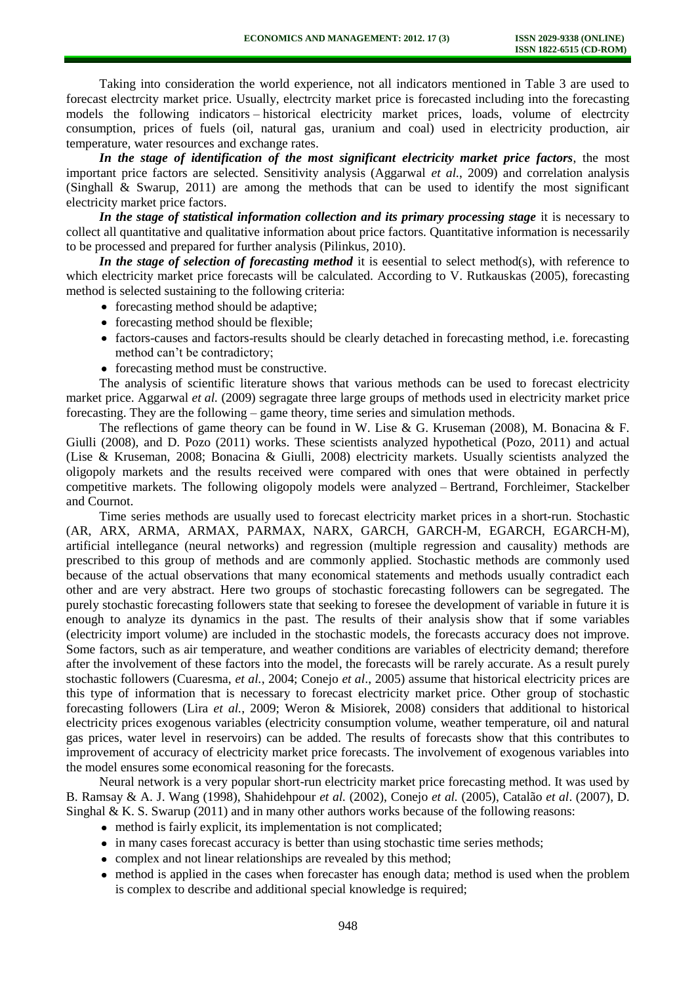Taking into consideration the world experience, not all indicators mentioned in Table 3 are used to forecast electrcity market price. Usually, electrcity market price is forecasted including into the forecasting models the following indicators – historical electricity market prices, loads, volume of electrcity consumption, prices of fuels (oil, natural gas, uranium and coal) used in electricity production, air temperature, water resources and exchange rates.

*In the stage of identification of the most significant electricity market price factors*, the most important price factors are selected. Sensitivity analysis (Aggarwal *et al.*, 2009) and correlation analysis (Singhall & Swarup, 2011) are among the methods that can be used to identify the most significant electricity market price factors.

*In the stage of statistical information collection and its primary processing stage* it is necessary to collect all quantitative and qualitative information about price factors. Quantitative information is necessarily to be processed and prepared for further analysis (Pilinkus, 2010).

*In the stage of selection of forecasting method* it is eesential to select method(s), with reference to which electricity market price forecasts will be calculated. According to V. Rutkauskas (2005), forecasting method is selected sustaining to the following criteria:

- forecasting method should be adaptive;
- forecasting method should be flexible;
- factors-causes and factors-results should be clearly detached in forecasting method, i.e. forecasting method can't be contradictory;
- forecasting method must be constructive.

The analysis of scientific literature shows that various methods can be used to forecast electricity market price. Aggarwal *et al.* (2009) segragate three large groups of methods used in electricity market price forecasting. They are the following – game theory, time series and simulation methods.

The reflections of game theory can be found in W. Lise & G. Kruseman (2008), M. Bonacina & F. Giulli (2008), and D. Pozo (2011) works. These scientists analyzed hypothetical (Pozo, 2011) and actual (Lise & Kruseman, 2008; Bonacina & Giulli, 2008) electricity markets. Usually scientists analyzed the oligopoly markets and the results received were compared with ones that were obtained in perfectly competitive markets. The following oligopoly models were analyzed – Bertrand, Forchleimer, Stackelber and Cournot.

Time series methods are usually used to forecast electricity market prices in a short-run. Stochastic (AR, ARX, ARMA, ARMAX, PARMAX, NARX, GARCH, GARCH-M, EGARCH, EGARCH-M), artificial intellegance (neural networks) and regression (multiple regression and causality) methods are prescribed to this group of methods and are commonly applied. Stochastic methods are commonly used because of the actual observations that many economical statements and methods usually contradict each other and are very abstract. Here two groups of stochastic forecasting followers can be segregated. The purely stochastic forecasting followers state that seeking to foresee the development of variable in future it is enough to analyze its dynamics in the past. The results of their analysis show that if some variables (electricity import volume) are included in the stochastic models, the forecasts accuracy does not improve. Some factors, such as air temperature, and weather conditions are variables of electricity demand; therefore after the involvement of these factors into the model, the forecasts will be rarely accurate. As a result purely stochastic followers (Cuaresma, *et al.*, 2004; Conejo *et al*., 2005) assume that historical electricity prices are this type of information that is necessary to forecast electricity market price. Other group of stochastic forecasting followers (Lira *et al.*, 2009; Weron & Misiorek, 2008) considers that additional to historical electricity prices exogenous variables (electricity consumption volume, weather temperature, oil and natural gas prices, water level in reservoirs) can be added. The results of forecasts show that this contributes to improvement of accuracy of electricity market price forecasts. The involvement of exogenous variables into the model ensures some economical reasoning for the forecasts.

Neural network is a very popular short-run electricity market price forecasting method. It was used by B. Ramsay & A. J. Wang (1998), Shahidehpour *et al.* (2002), Conejo *et al.* (2005), Catalão *et al*. (2007), D. Singhal  $\&$  K. S. Swarup (2011) and in many other authors works because of the following reasons:

- method is fairly explicit, its implementation is not complicated;
- in many cases forecast accuracy is better than using stochastic time series methods;
- complex and not linear relationships are revealed by this method;
- method is applied in the cases when forecaster has enough data; method is used when the problem is complex to describe and additional special knowledge is required;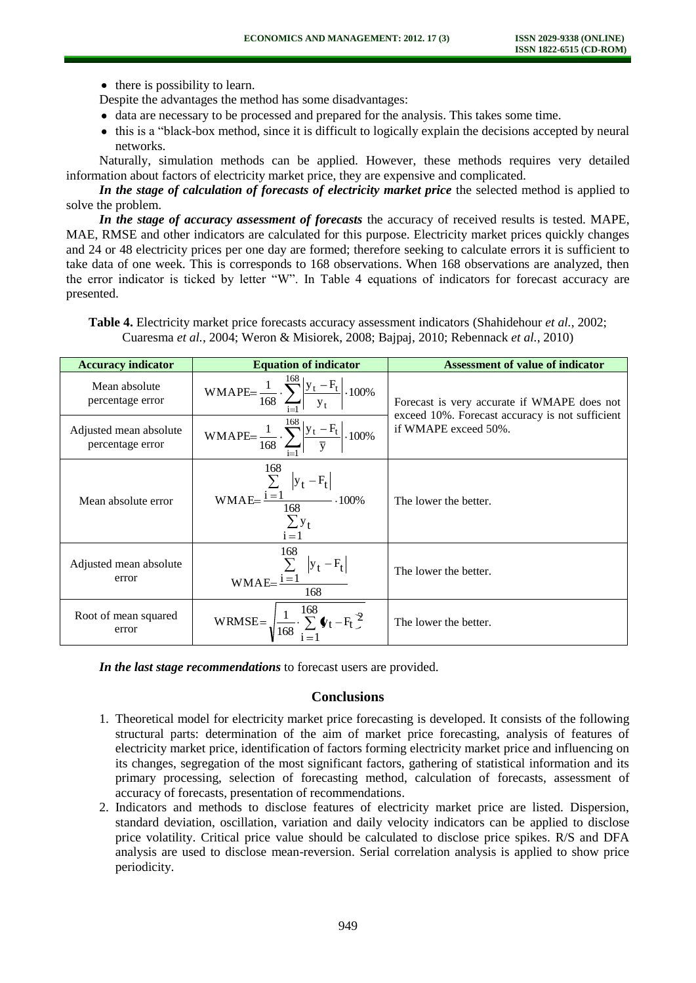$\bullet$  there is possibility to learn.

Despite the advantages the method has some disadvantages:

- data are necessary to be processed and prepared for the analysis. This takes some time.
- this is a "black-box method, since it is difficult to logically explain the decisions accepted by neural networks.

Naturally, simulation methods can be applied. However, these methods requires very detailed information about factors of electricity market price, they are expensive and complicated.

*In the stage of calculation of forecasts of electricity market price* the selected method is applied to solve the problem.

*In the stage of accuracy assessment of forecasts* the accuracy of received results is tested. MAPE, MAE, RMSE and other indicators are calculated for this purpose. Electricity market prices quickly changes and 24 or 48 electricity prices per one day are formed; therefore seeking to calculate errors it is sufficient to take data of one week. This is corresponds to 168 observations. When 168 observations are analyzed, then the error indicator is ticked by letter "W". In Table 4 equations of indicators for forecast accuracy are presented.

| <b>Table 4.</b> Electricity market price forecasts accuracy assessment indicators (Shahidehour <i>et al.</i> , 2002; |  |  |  |  |
|----------------------------------------------------------------------------------------------------------------------|--|--|--|--|
| Cuaresma et al., 2004; Weron & Misiorek, 2008; Bajpaj, 2010; Rebennack et al., 2010)                                 |  |  |  |  |

| <b>Accuracy indicator</b>                  | <b>Equation of indicator</b>                                                                                                                        | <b>Assessment of value of indicator</b>                                 |  |  |
|--------------------------------------------|-----------------------------------------------------------------------------------------------------------------------------------------------------|-------------------------------------------------------------------------|--|--|
| Mean absolute<br>percentage error          | WMAPE= $\frac{1}{168} \cdot \sum_{t=1}^{168} \left  \frac{y_t - F_t}{y_t} \right  \cdot 100\%$                                                      | Forecast is very accurate if WMAPE does not                             |  |  |
| Adjusted mean absolute<br>percentage error | WMAPE= $\frac{1}{168} \cdot \sum_{t=1}^{168} \left  \frac{y_t - F_t}{\overline{y}} \right  \cdot 100\%$                                             | exceed 10%. Forecast accuracy is not sufficient<br>if WMAPE exceed 50%. |  |  |
| Mean absolute error                        | 168<br>WMAE= $\frac{\sum_{t=1}^{T}  y_t - F_t }{168}$ · 100%<br>$\sum_{i=1}^{y} t$                                                                  | The lower the better.                                                   |  |  |
| Adjusted mean absolute<br>error            | $\frac{168}{5}$<br>$\label{eq:whae} \text{WMAE=}\frac{\sum\limits_{i=1}\left y_{t}-F_{t}\right }{\sum\limits_{i=1}\left y_{t}-F_{t}\right }$<br>168 | The lower the better.                                                   |  |  |
| Root of mean squared<br>error              | WRMSE= $\sqrt{\frac{1}{168} \cdot \sum_{t=1}^{168} \Phi_t - F_t^2}$                                                                                 | The lower the better.                                                   |  |  |

*In the last stage recommendations* to forecast users are provided.

## **Conclusions**

- 1. Theoretical model for electricity market price forecasting is developed. It consists of the following structural parts: determination of the aim of market price forecasting, analysis of features of electricity market price, identification of factors forming electricity market price and influencing on its changes, segregation of the most significant factors, gathering of statistical information and its primary processing, selection of forecasting method, calculation of forecasts, assessment of accuracy of forecasts, presentation of recommendations.
- 2. Indicators and methods to disclose features of electricity market price are listed. Dispersion, standard deviation, oscillation, variation and daily velocity indicators can be applied to disclose price volatility. Critical price value should be calculated to disclose price spikes. R/S and DFA analysis are used to disclose mean-reversion. Serial correlation analysis is applied to show price periodicity.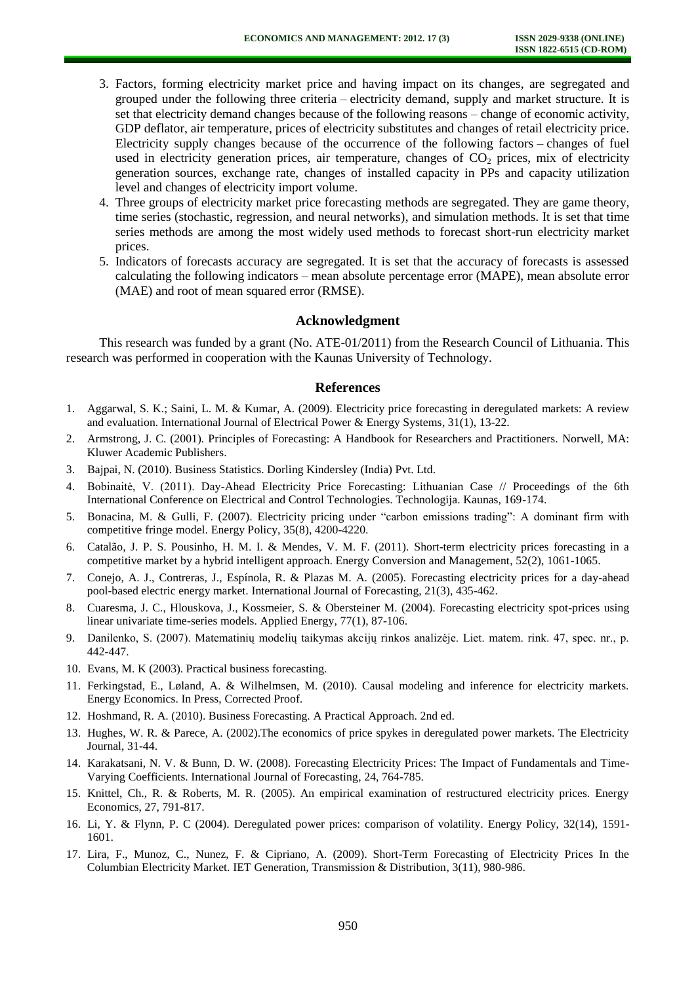- 3. Factors, forming electricity market price and having impact on its changes, are segregated and grouped under the following three criteria – electricity demand, supply and market structure. It is set that electricity demand changes because of the following reasons – change of economic activity, GDP deflator, air temperature, prices of electricity substitutes and changes of retail electricity price. Electricity supply changes because of the occurrence of the following factors – changes of fuel used in electricity generation prices, air temperature, changes of  $CO<sub>2</sub>$  prices, mix of electricity generation sources, exchange rate, changes of installed capacity in PPs and capacity utilization level and changes of electricity import volume.
- 4. Three groups of electricity market price forecasting methods are segregated. They are game theory, time series (stochastic, regression, and neural networks), and simulation methods. It is set that time series methods are among the most widely used methods to forecast short-run electricity market prices.
- 5. Indicators of forecasts accuracy are segregated. It is set that the accuracy of forecasts is assessed calculating the following indicators – mean absolute percentage error (MAPE), mean absolute error (MAE) and root of mean squared error (RMSE).

# **Acknowledgment**

This research was funded by a grant (No. ATE-01/2011) from the Research Council of Lithuania. This research was performed in cooperation with the Kaunas University of Technology.

### **References**

- 1. Aggarwal, S. K.; Saini, L. M. & Kumar, A. (2009). Electricity price forecasting in deregulated markets: A review and evaluation. International Journal of Electrical Power & Energy Systems, 31(1), 13-22.
- 2. Armstrong, J. C. (2001). Principles of Forecasting: A Handbook for Researchers and Practitioners. Norwell, MA: Kluwer Academic Publishers.
- 3. Bajpai, N. (2010). Business Statistics. Dorling Kindersley (India) Pvt. Ltd.
- 4. Bobinaitė, V. (2011). Day-Ahead Electricity Price Forecasting: Lithuanian Case // Proceedings of the 6th International Conference on Electrical and Control Technologies. Technologija. Kaunas, 169-174.
- 5. Bonacina, M. & Gulli, F. (2007). Electricity pricing under "carbon emissions trading": A dominant firm with competitive fringe model. Energy Policy, 35(8), 4200-4220.
- 6. Catalão, J. P. S. Pousinho, H. M. I. & Mendes, V. M. F. (2011). Short-term electricity prices forecasting in a competitive market by a hybrid intelligent approach. Energy Conversion and Management, 52(2), 1061-1065.
- 7. Conejo, A. J., Contreras, J., Espínola, R. & Plazas M. A. (2005). Forecasting electricity prices for a day-ahead pool-based electric energy market. International Journal of Forecasting, 21(3), 435-462.
- 8. Cuaresma, J. C., Hlouskova, J., Kossmeier, S. & Obersteiner M. (2004). Forecasting electricity spot-prices using linear univariate time-series models. Applied Energy, 77(1), 87-106.
- 9. Danilenko, S. (2007). Matematinių modelių taikymas akcijų rinkos analizėje. Liet. matem. rink. 47, spec. nr., p. 442-447.
- 10. Evans, M. K (2003). Practical business forecasting.
- 11. Ferkingstad, E., Løland, A. & Wilhelmsen, M. (2010). Causal modeling and inference for electricity markets. Energy Economics. In Press, Corrected Proof.
- 12. Hoshmand, R. A. (2010). Business Forecasting. A Practical Approach. 2nd ed.
- 13. Hughes, W. R. & Parece, A. (2002).The economics of price spykes in deregulated power markets. The Electricity Journal, 31-44.
- 14. Karakatsani, N. V. & Bunn, D. W. (2008). Forecasting Electricity Prices: The Impact of Fundamentals and Time-Varying Coefficients. International Journal of Forecasting, 24, 764-785.
- 15. Knittel, Ch., R. & Roberts, M. R. (2005). An empirical examination of restructured electricity prices. Energy Economics, 27, 791-817.
- 16. Li, Y. & Flynn, P. C (2004). [Deregulated power prices: comparison of volatility.](http://www.sciencedirect.com/science/article/pii/S0301421503001307) Energy Policy, 32(14), 1591- 1601.
- 17. Lira, F., Munoz, C., Nunez, F. & Cipriano, A. (2009). Short-Term Forecasting of Electricity Prices In the Columbian Electricity Market. IET Generation, Transmission & Distribution, 3(11), 980-986.